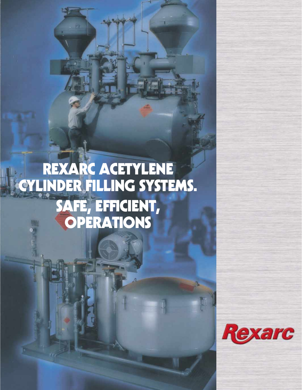# **REXARC ACETYLENE CYLINDER FILLING SYSTEMS. SAFE, EFFICIENT, OPERATIONS**

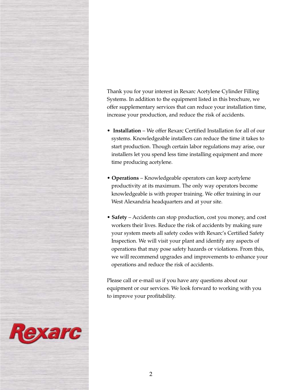Thank you for your interest in Rexarc Acetylene Cylinder Filling Systems. In addition to the equipment listed in this brochure, we offer supplementary services that can reduce your installation time, increase your production, and reduce the risk of accidents.

- **Installation** We offer Rexarc Certified Installation for all of our systems. Knowledgeable installers can reduce the time it takes to start production. Though certain labor regulations may arise, our installers let you spend less time installing equipment and more time producing acetylene.
- **Operations** Knowledgeable operators can keep acetylene productivity at its maximum. The only way operators become knowledgeable is with proper training. We offer training in our West Alexandria headquarters and at your site.
- **Safety** Accidents can stop production, cost you money, and cost workers their lives. Reduce the risk of accidents by making sure your system meets all safety codes with Rexarc's Certified Safety Inspection. We will visit your plant and identify any aspects of operations that may pose safety hazards or violations. From this, we will recommend upgrades and improvements to enhance your operations and reduce the risk of accidents.

Please call or e-mail us if you have any questions about our equipment or our services. We look forward to working with you to improve your profitability.

Rexarc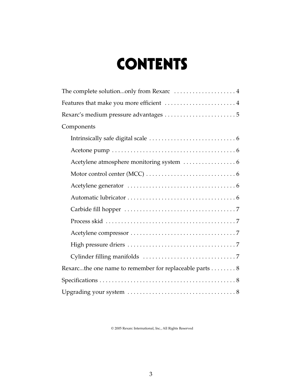# **CONTENTS**

| Features that make you more efficient  4               |
|--------------------------------------------------------|
| Rexarc's medium pressure advantages 5                  |
| Components                                             |
|                                                        |
|                                                        |
|                                                        |
|                                                        |
|                                                        |
|                                                        |
|                                                        |
|                                                        |
|                                                        |
|                                                        |
|                                                        |
| Rexarcthe one name to remember for replaceable parts 8 |
|                                                        |
|                                                        |

© 2005 Rexarc International, Inc., All Rights Reserved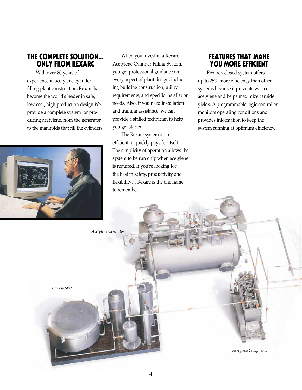#### **THE COMPLETE SOLUTION... ONLY FROM REXARC**

With over 80 years of experience in acetylene cylinder filling plant construction, Rexarc has become the world's leader in safe, low-cost, high production design.We provide a complete system for producing acetylene, from the generator to the manifolds that fill the cylinders.



When you invest in a Rexarc Acetylene Cylinder Filling System, you get professional guidance on every aspect of plant design, including building construction, utility requirements, and specific installation needs. Also, if you need installation and training assistance, we can provide a skilled technician to help you get started.

The Rexarc system is so efficient, it quickly pays for itself. The simplicity of operation allows the system to be run only when acetylene is required. If you're looking for the best in safety, productivity and flexibility… Rexarc is the one name to remember.

*Acetylene Generator*

## **FEATURES THAT MAKE YOU MORE EFFICIENT**

Rexarc's closed system offers up to 25% more efficiency than other systems because it prevents wasted acetylene and helps maximize carbide yields. A programmable logic controller monitors operating conditions and provides information to keep the system running at optimum efficiency.

*Process Skid Acetylene Compressor*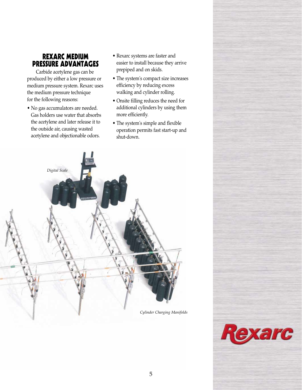### **REXARC MEDIUM PRESSURE ADVANTAGES**

Carbide acetylene gas can be produced by either a low pressure or medium pressure system. Rexarc uses the medium pressure technique for the following reasons:

- No gas accumulators are needed. Gas holders use water that absorbs the acetylene and later release it to the outside air, causing wasted acetylene and objectionable odors.
- Rexarc systems are faster and easier to install because they arrive prepiped and on skids.
- The system's compact size increases efficiency by reducing excess walking and cylinder rolling.
- Onsite filling reduces the need for additional cylinders by using them more efficiently.
- The system's simple and flexible operation permits fast start-up and shut-down.



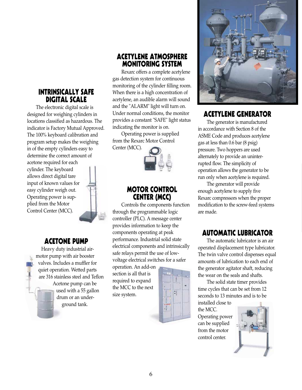## **INTRINSICALLY SAFE DIGITAL SCALE**

The electronic digital scale is designed for weighing cylinders in locations classified as hazardous. The indicator is Factory Mutual Approved. The 100% keyboard calibration and program setup makes the weighing in of the empty cylinders easy to determine the correct amount of

acetone required for each cylinder. The keyboard allows direct digital tare input of known values for easy cylinder weigh out. Operating power is supplied from the Motor Control Center (MCC).



## **ACETONE PUMP**

Heavy duty industrial airmotor pump with air booster valves. Includes a muffler for quiet operation. Wetted parts are 316 stainless steel and Teflon Acetone pump can be used with a 55 gallon drum or an underground tank.

## **ACETYLENE ATMOSPHERE MONITORING SYSTEM**

Rexarc offers a complete acetylene gas detection system for continuous monitoring of the cylinder filling room. When there is a high concentration of acetylene, an audible alarm will sound and the "ALARM" light will turn on. Under normal conditions, the monitor provides a constant "SAFE" light status indicating the monitor is on.

Operating power is supplied from the Rexarc Motor Control Center (MCC).



## **MOTOR CONTROL CENTER (MCC)**

Controls the components function through the programmable logic controller (PLC). A message center provides information to keep the components operating at peak performance. Industrial solid state electrical components and intrinsically safe relays permit the use of lowvoltage electrical switches for a safer

operation. An add-on section is all that is required to expand the MCC to the next size system.





# **ACETYLENE GENERATOR**

The generator is manufactured in accordance with Section 8 of the ASME Code and produces acetylene gas at less than 0.6 bar (8 psig) pressure. Two hoppers are used alternately to provide an uninterrupted flow. The simplicity of operation allows the generator to be run only when acetylene is required.

The generator will provide enough acetylene to supply five Rexarc compressors when the proper modification to the screw-feed systems are made.

# **AUTOMATIC LUBRICATOR**

The automatic lubricator is an air operated displacement type lubricator. The twin valve control dispenses equal amounts of lubrication to each end of the generator agitator shaft, reducing the wear on the seals and shafts.

The solid state timer provides time cycles that can be set from 12 seconds to 13 minutes and is to be

installed close to the MCC. Operating power can be supplied from the motor control center.

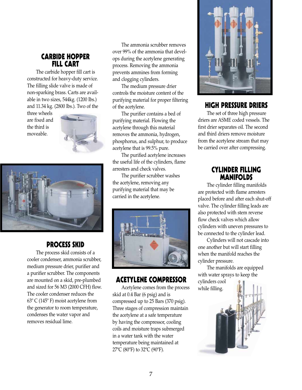### **CARBIDE HOPPER FILL CART**

The carbide hopper fill cart is constructed for heavy-duty service. The filling slide valve is made of non-sparking brass. Carts are available in two sizes, 544kg. (1200 lbs.) and 11.34 kg. (2800 lbs.). Two of the

three wheels are fixed and the third is moveable.





# **PROCESS SKID**

The process skid consists of a cooler condenser, ammonia scrubber, medium pressure drier, purifier and a purifier scrubber. The components are mounted on a skid, pre-plumbed and sized for 56 M3 (2000 CFH) flow. The cooler condenser reduces the 63º C (145º F) moist acetylene from the generator to room temperature, condenses the water vapor and removes residual lime.

The ammonia scrubber removes over 99% of the ammonia that develops during the acetylene generating process. Removing the ammonia prevents ammines from forming and clogging cylinders.

The medium pressure drier controls the moisture content of the purifying material for proper filtering of the acetylene.

The purifier contains a bed of purifying material. Flowing the acetylene through this material removes the ammonia, hydrogen, phosphorus, and sulphur, to produce acetylene that is 99.5% pure.

The purified acetylene increases the useful life of the cylinders, flame arresters and check valves.

The purifier scrubber washes the acetylene, removing any purifying material that may be carried in the acetylene.



# **ACETYLENE COMPRESSOR**

Acetylene comes from the process skid at 0.4 Bar (6 psig) and is compressed up to 25 Bars (370 psig). Three stages of compression maintain the acetylene at a safe temperature by having the compressor, cooling coils and moisture traps submerged in a water tank with the water temperature being maintained at 27ºC (80ºF) to 32ºC (90ºF).



#### **HIGH PRESSURE DRIERS**

The set of three high pressure driers are ASME coded vessels. The first drier separates oil. The second and third driers remove moisture from the acetylene stream that may be carried over after compressing.

## **CYLINDER FILLING MANIFOLDS**

The cylinder filling manifolds are protected with flame arresters placed before and after each shut-off valve. The cylinder filling leads are also protected with stem reverse flow check valves which allow cylinders with uneven pressures to be connected to the cylinder lead.

Cylinders will not cascade into one another but will start filling when the manifold reaches the cylinder pressure.

The manifolds are equipped with water sprays to keep the cylinders cool